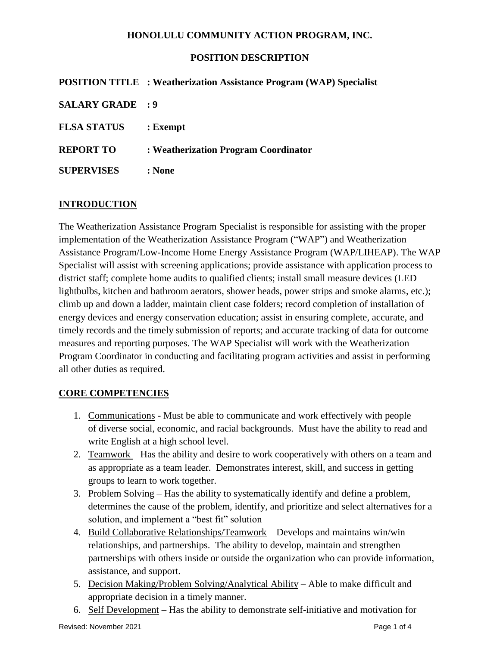## **POSITION DESCRIPTION**

|                         | <b>POSITION TITLE : Weatherization Assistance Program (WAP) Specialist</b> |
|-------------------------|----------------------------------------------------------------------------|
| <b>SALARY GRADE : 9</b> |                                                                            |
| <b>FLSA STATUS</b>      | : <b>Exempt</b>                                                            |
| <b>REPORT TO</b>        | : Weatherization Program Coordinator                                       |
| <b>SUPERVISES</b>       | : None                                                                     |

## **INTRODUCTION**

The Weatherization Assistance Program Specialist is responsible for assisting with the proper implementation of the Weatherization Assistance Program ("WAP") and Weatherization Assistance Program/Low-Income Home Energy Assistance Program (WAP/LIHEAP). The WAP Specialist will assist with screening applications; provide assistance with application process to district staff; complete home audits to qualified clients; install small measure devices (LED lightbulbs, kitchen and bathroom aerators, shower heads, power strips and smoke alarms, etc.); climb up and down a ladder, maintain client case folders; record completion of installation of energy devices and energy conservation education; assist in ensuring complete, accurate, and timely records and the timely submission of reports; and accurate tracking of data for outcome measures and reporting purposes. The WAP Specialist will work with the Weatherization Program Coordinator in conducting and facilitating program activities and assist in performing all other duties as required.

#### **CORE COMPETENCIES**

- 1. Communications Must be able to communicate and work effectively with people of diverse social, economic, and racial backgrounds. Must have the ability to read and write English at a high school level.
- 2. Teamwork Has the ability and desire to work cooperatively with others on a team and as appropriate as a team leader. Demonstrates interest, skill, and success in getting groups to learn to work together.
- 3. Problem Solving Has the ability to systematically identify and define a problem, determines the cause of the problem, identify, and prioritize and select alternatives for a solution, and implement a "best fit" solution
- 4. Build Collaborative Relationships/Teamwork Develops and maintains win/win relationships, and partnerships. The ability to develop, maintain and strengthen partnerships with others inside or outside the organization who can provide information, assistance, and support.
- 5. Decision Making/Problem Solving/Analytical Ability Able to make difficult and appropriate decision in a timely manner.
- 6. Self Development Has the ability to demonstrate self-initiative and motivation for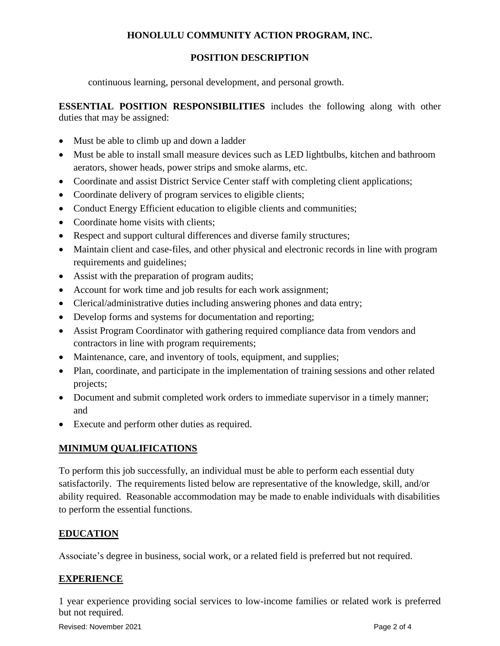## **POSITION DESCRIPTION**

continuous learning, personal development, and personal growth.

**ESSENTIAL POSITION RESPONSIBILITIES** includes the following along with other duties that may be assigned:

- Must be able to climb up and down a ladder
- Must be able to install small measure devices such as LED lightbulbs, kitchen and bathroom aerators, shower heads, power strips and smoke alarms, etc.
- Coordinate and assist District Service Center staff with completing client applications;
- Coordinate delivery of program services to eligible clients;
- Conduct Energy Efficient education to eligible clients and communities;
- Coordinate home visits with clients:
- Respect and support cultural differences and diverse family structures;
- Maintain client and case-files, and other physical and electronic records in line with program requirements and guidelines;
- Assist with the preparation of program audits;
- Account for work time and job results for each work assignment;
- Clerical/administrative duties including answering phones and data entry;
- Develop forms and systems for documentation and reporting;
- Assist Program Coordinator with gathering required compliance data from vendors and contractors in line with program requirements;
- Maintenance, care, and inventory of tools, equipment, and supplies;
- Plan, coordinate, and participate in the implementation of training sessions and other related projects;
- Document and submit completed work orders to immediate supervisor in a timely manner; and
- Execute and perform other duties as required.

## **MINIMUM QUALIFICATIONS**

To perform this job successfully, an individual must be able to perform each essential duty satisfactorily. The requirements listed below are representative of the knowledge, skill, and/or ability required. Reasonable accommodation may be made to enable individuals with disabilities to perform the essential functions.

## **EDUCATION**

Associate's degree in business, social work, or a related field is preferred but not required.

## **EXPERIENCE**

1 year experience providing social services to low-income families or related work is preferred but not required.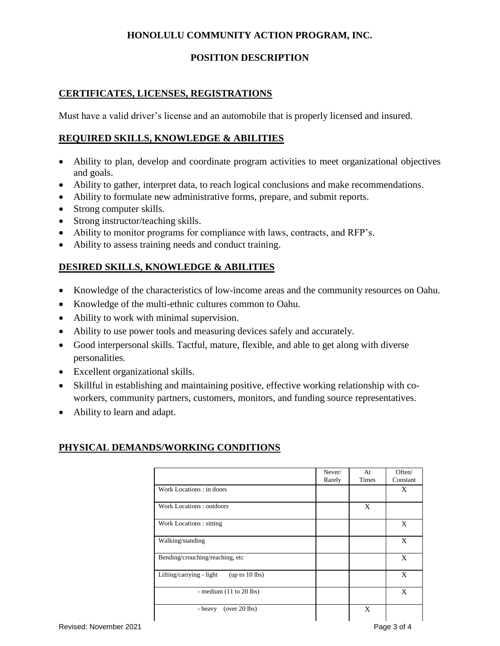## **POSITION DESCRIPTION**

## **CERTIFICATES, LICENSES, REGISTRATIONS**

Must have a valid driver's license and an automobile that is properly licensed and insured.

#### **REQUIRED SKILLS, KNOWLEDGE & ABILITIES**

- Ability to plan, develop and coordinate program activities to meet organizational objectives and goals.
- Ability to gather, interpret data, to reach logical conclusions and make recommendations.
- Ability to formulate new administrative forms, prepare, and submit reports.
- Strong computer skills.
- Strong instructor/teaching skills.
- Ability to monitor programs for compliance with laws, contracts, and RFP's.
- Ability to assess training needs and conduct training.

## **DESIRED SKILLS, KNOWLEDGE & ABILITIES**

- Knowledge of the characteristics of low-income areas and the community resources on Oahu.
- Knowledge of the multi-ethnic cultures common to Oahu.
- Ability to work with minimal supervision.
- Ability to use power tools and measuring devices safely and accurately.
- Good interpersonal skills. Tactful, mature, flexible, and able to get along with diverse personalities.
- Excellent organizational skills.
- Skillful in establishing and maintaining positive, effective working relationship with coworkers, community partners, customers, monitors, and funding source representatives.
- Ability to learn and adapt.

#### **PHYSICAL DEMANDS/WORKING CONDITIONS** Ι

|                                            | Never/ | At    | Often/   |
|--------------------------------------------|--------|-------|----------|
|                                            | Rarely | Times | Constant |
|                                            |        |       |          |
| Work Locations: in doors                   |        |       | X        |
|                                            |        |       |          |
| Work Locations: outdoors                   |        | X     |          |
|                                            |        |       |          |
| Work Locations: sitting                    |        |       | X        |
|                                            |        |       |          |
| Walking/standing                           |        |       | X        |
|                                            |        |       |          |
| Bending/crouching/reaching, etc            |        |       | X        |
|                                            |        |       |          |
| Lifting/carrying - light<br>(up to 10 lbs) |        |       | X        |
|                                            |        |       |          |
| - medium $(11$ to $20$ lbs)                |        |       | X        |
|                                            |        |       |          |
| (over 20 lbs)<br>- heavy                   |        | X     |          |
|                                            |        |       |          |
|                                            |        |       |          |